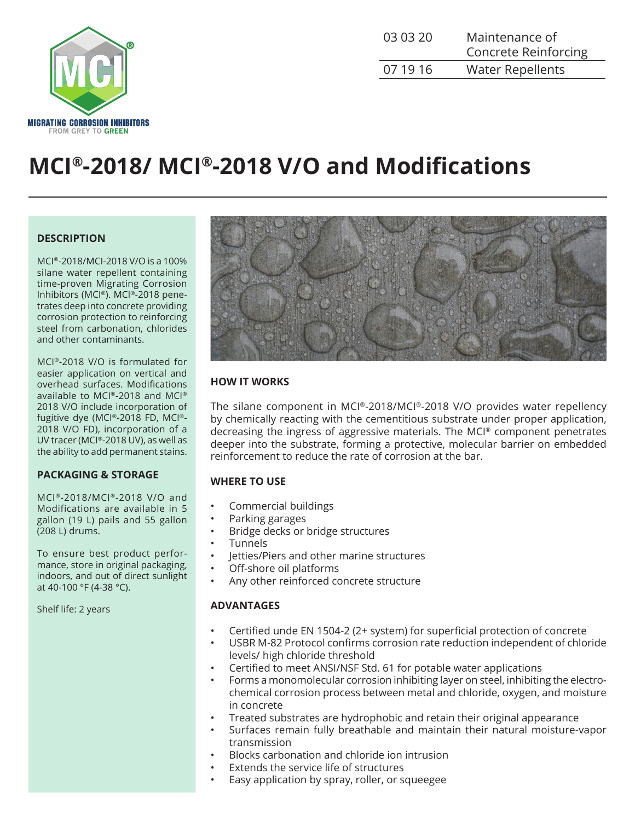

| 03 03 20 | Maintenance of<br><b>Concrete Reinforcing</b> |
|----------|-----------------------------------------------|
| 07 19 16 | <b>Water Repellents</b>                       |

# **MCI®-2018/ MCI®-2018 V/O and Modifications**

### **DESCRIPTION**

MCI®-2018/MCI-2018 V/O is a 100% silane water repellent containing time-proven Migrating Corrosion Inhibitors (MCI®). MCI®-2018 penetrates deep into concrete providing corrosion protection to reinforcing steel from carbonation, chlorides and other contaminants.

MCI®-2018 V/O is formulated for easier application on vertical and overhead surfaces. Modifications available to MCI®-2018 and MCI® 2018 V/O include incorporation of fugitive dye (MCI®-2018 FD, MCI®- 2018 V/O FD), incorporation of a UV tracer (MCI®-2018 UV), as well as the ability to add permanent stains.

#### **PACKAGING & STORAGE**

MCI®-2018/MCI®-2018 V/O and Modifications are available in 5 gallon (19 L) pails and 55 gallon (208 L) drums.

To ensure best product performance, store in original packaging, indoors, and out of direct sunlight at 40-100 °F (4-38 °C).

Shelf life: 2 years



# **HOW IT WORKS**

The silane component in MCI®-2018/MCI®-2018 V/O provides water repellency by chemically reacting with the cementitious substrate under proper application, decreasing the ingress of aggressive materials. The MCI® component penetrates deeper into the substrate, forming a protective, molecular barrier on embedded reinforcement to reduce the rate of corrosion at the bar.

#### **WHERE TO USE**

- Commercial buildings
- Parking garages
- Bridge decks or bridge structures
- **Tunnels**
- Jetties/Piers and other marine structures
- Off-shore oil platforms
- Any other reinforced concrete structure

#### **ADVANTAGES**

- Certified unde EN 1504-2 (2+ system) for superficial protection of concrete
- USBR M-82 Protocol confirms corrosion rate reduction independent of chloride levels/ high chloride threshold
- Certified to meet ANSI/NSF Std. 61 for potable water applications
- Forms a monomolecular corrosion inhibiting layer on steel, inhibiting the electrochemical corrosion process between metal and chloride, oxygen, and moisture in concrete
- Treated substrates are hydrophobic and retain their original appearance
- Surfaces remain fully breathable and maintain their natural moisture-vapor transmission
- Blocks carbonation and chloride ion intrusion
- Extends the service life of structures
- Easy application by spray, roller, or squeegee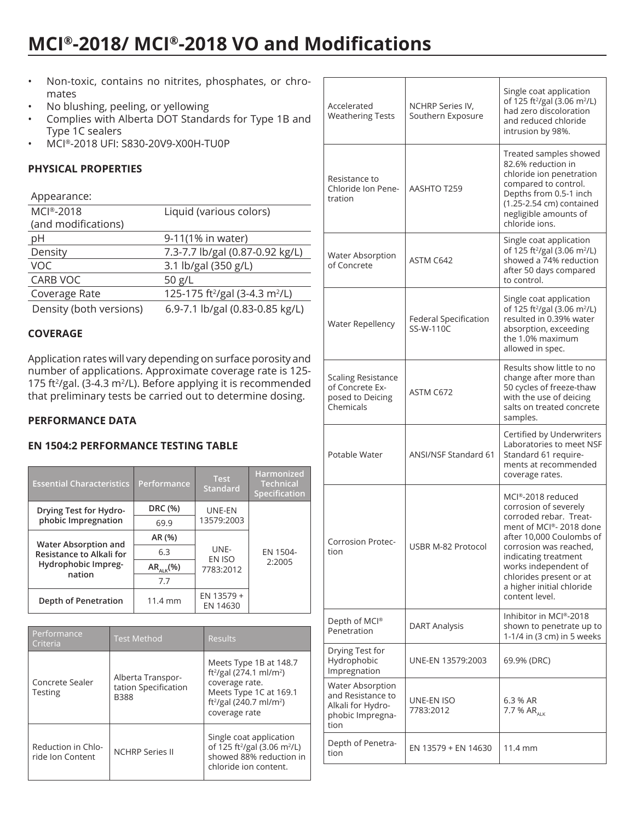# **MCI®-2018/ MCI®-2018 VO and Modifications**

- Non-toxic, contains no nitrites, phosphates, or chromates
- No blushing, peeling, or yellowing
- Complies with Alberta DOT Standards for Type 1B and Type 1C sealers
- MCI®-2018 UFI: S830-20V9-X00H-TU0P

# **PHYSICAL PROPERTIES**

#### Appearance:

| MCI®-2018               | Liquid (various colors)                                |  |
|-------------------------|--------------------------------------------------------|--|
| (and modifications)     |                                                        |  |
| pH                      | 9-11(1% in water)                                      |  |
| Density                 | 7.3-7.7 lb/gal (0.87-0.92 kg/L)                        |  |
| <b>VOC</b>              | 3.1 lb/gal (350 g/L)                                   |  |
| CARB VOC                | 50 $g/L$                                               |  |
| Coverage Rate           | 125-175 ft <sup>2</sup> /gal (3-4.3 m <sup>2</sup> /L) |  |
| Density (both versions) | 6.9-7.1 lb/gal (0.83-0.85 kg/L)                        |  |
|                         |                                                        |  |

# **COVERAGE**

Application rates will vary depending on surface porosity and number of applications. Approximate coverage rate is 125- 175 ft<sup>2</sup>/gal. (3-4.3 m<sup>2</sup>/L). Before applying it is recommended that preliminary tests be carried out to determine dosing.

# **PERFORMANCE DATA**

# **EN 1504:2 PERFORMANCE TESTING TABLE**

| <b>Essential Characteristics</b>                                                         | Performance       | <b>Test</b><br><b>Standard</b> | Harmonized<br><b>Technical</b><br>Specification |
|------------------------------------------------------------------------------------------|-------------------|--------------------------------|-------------------------------------------------|
| Drying Test for Hydro-<br>phobic Impregnation                                            | DRC (%)           | UNE-EN<br>13579:2003           | EN 1504-<br>2:2005                              |
|                                                                                          | 69.9              |                                |                                                 |
| <b>Water Absorption and</b><br>Resistance to Alkali for<br>Hydrophobic Impreg-<br>nation | AR (%)            | UNF-<br>EN ISO<br>7783:2012    |                                                 |
|                                                                                          | 6.3               |                                |                                                 |
|                                                                                          | $AR_{A k}(%$      |                                |                                                 |
|                                                                                          | 7.7               |                                |                                                 |
| Depth of Penetration                                                                     | $11.4 \text{ mm}$ | EN 13579 +<br>EN 14630         |                                                 |

| Performance<br>Criteria                                          | <b>Test Method</b>                                       | <b>Results</b>                                                                                                                                                                            |
|------------------------------------------------------------------|----------------------------------------------------------|-------------------------------------------------------------------------------------------------------------------------------------------------------------------------------------------|
| Concrete Sealer<br><b>Testing</b>                                | Alberta Transpor-<br>tation Specification<br><b>B388</b> | Meets Type 1B at 148.7<br>ft <sup>2</sup> /gal (274.1 ml/m <sup>2</sup> )<br>coverage rate.<br>Meets Type 1C at 169.1<br>ft <sup>2</sup> /gal (240.7 ml/m <sup>2</sup> )<br>coverage rate |
| Reduction in Chlo-<br><b>NCHRP Series II</b><br>ride Ion Content |                                                          | Single coat application<br>of 125 ft <sup>2</sup> /gal (3.06 m <sup>2</sup> /L)<br>showed 88% reduction in<br>chloride ion content.                                                       |

| Accelerated<br><b>Weathering Tests</b>                                                        | NCHRP Series IV,<br>Southern Exposure | Single coat application<br>of 125 ft <sup>2</sup> /gal (3.06 m <sup>2</sup> /L)<br>had zero discoloration<br>and reduced chloride<br>intrusion by 98%.                                                                                                                         |
|-----------------------------------------------------------------------------------------------|---------------------------------------|--------------------------------------------------------------------------------------------------------------------------------------------------------------------------------------------------------------------------------------------------------------------------------|
| Resistance to<br>Chloride Ion Pene-<br>tration                                                | AASHTO T259                           | Treated samples showed<br>82.6% reduction in<br>chloride ion penetration<br>compared to control.<br>Depths from 0.5-1 inch<br>(1.25-2.54 cm) contained<br>negligible amounts of<br>chloride ions.                                                                              |
| <b>Water Absorption</b><br>of Concrete                                                        | ASTM C642                             | Single coat application<br>of 125 ft <sup>2</sup> /gal (3.06 m <sup>2</sup> /L)<br>showed a 74% reduction<br>after 50 days compared<br>to control.                                                                                                                             |
| <b>Water Repellency</b>                                                                       | Federal Specification<br>SS-W-110C    | Single coat application<br>of 125 ft <sup>2</sup> /gal (3.06 m <sup>2</sup> /L)<br>resulted in 0.39% water<br>absorption, exceeding<br>the 1.0% maximum<br>allowed in spec.                                                                                                    |
| <b>Scaling Resistance</b><br>of Concrete Ex-<br>posed to Deicing<br>Chemicals                 | ASTM C672                             | Results show little to no<br>change after more than<br>50 cycles of freeze-thaw<br>with the use of deicing<br>salts on treated concrete<br>samples.                                                                                                                            |
| Potable Water                                                                                 | <b>ANSI/NSF Standard 61</b>           | Certified by Underwriters<br>Laboratories to meet NSF<br>Standard 61 require-<br>ments at recommended<br>coverage rates.                                                                                                                                                       |
| Corrosion Protec-<br>tion                                                                     | USBR M-82 Protocol                    | MCI®-2018 reduced<br>corrosion of severely<br>corroded rebar. Treat-<br>ment of MCI®-2018 done<br>after 10,000 Coulombs of<br>corrosion was reached,<br>indicating treatment<br>works independent of<br>chlorides present or at<br>a higher initial chloride<br>content level. |
| Depth of MCI®<br>Penetration                                                                  | <b>DART Analysis</b>                  | Inhibitor in MCI®-2018<br>shown to penetrate up to<br>1-1/4 in (3 cm) in 5 weeks                                                                                                                                                                                               |
| Drying Test for<br>Hydrophobic<br>Impregnation                                                | UNE-EN 13579:2003                     | 69.9% (DRC)                                                                                                                                                                                                                                                                    |
| <b>Water Absorption</b><br>and Resistance to<br>Alkali for Hydro-<br>phobic Impregna-<br>tion | UNE-EN ISO<br>7783:2012               | 6.3 % AR<br>7.7 % AR <sub>ALK</sub>                                                                                                                                                                                                                                            |
| Depth of Penetra-<br>tion                                                                     | EN 13579 + EN 14630                   | 11.4 mm                                                                                                                                                                                                                                                                        |